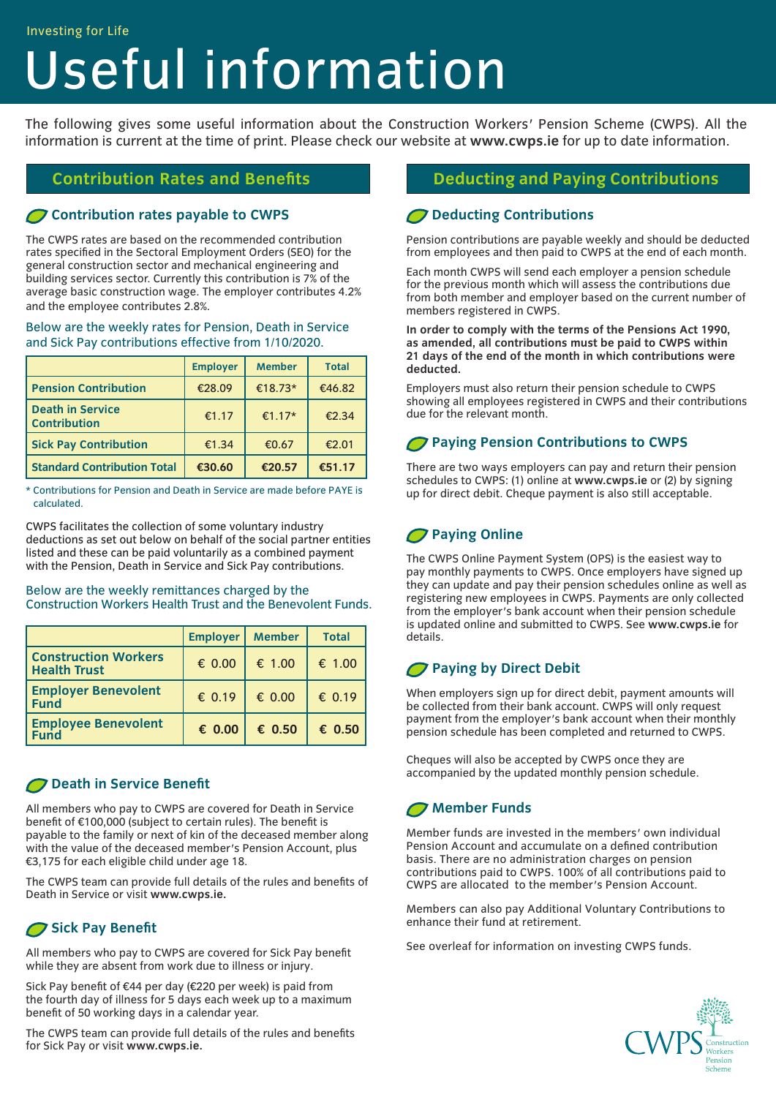#### Investing for Life

# Useful information

The following gives some useful information about the Construction Workers' Pension Scheme (CWPS). All the information is current at the time of print. Please check our website at **www.cwps.ie** for up to date information.

#### **Contribution rates payable to CWPS**

The CWPS rates are based on the recommended contribution rates specified in the Sectoral Employment Orders (SEO) for the general construction sector and mechanical engineering and building services sector. Currently this contribution is 7% of the average basic construction wage. The employer contributes 4.2% and the employee contributes 2.8%.

#### Below are the weekly rates for Pension, Death in Service and Sick Pay contributions effective from 1/10/2020.

|                                                | <b>Employer</b> | <b>Member</b> | <b>Total</b> |
|------------------------------------------------|-----------------|---------------|--------------|
| <b>Pension Contribution</b>                    | €28.09          | €18.73*       | €46.82       |
| <b>Death in Service</b><br><b>Contribution</b> | €1.17           | €1.17*        | £2.34        |
| <b>Sick Pay Contribution</b>                   | €1.34           | €0.67         | €2.01        |
| <b>Standard Contribution Total</b>             | €30.60          | €20.57        | €51.17       |

\* Contributions for Pension and Death in Service are made before PAYE is calculated.

CWPS facilitates the collection of some voluntary industry deductions as set out below on behalf of the social partner entities listed and these can be paid voluntarily as a combined payment with the Pension, Death in Service and Sick Pay contributions.

#### Below are the weekly remittances charged by the Construction Workers Health Trust and the Benevolent Funds.

|                                                    | <b>Employer</b> | <b>Member</b> | <b>Total</b>    |
|----------------------------------------------------|-----------------|---------------|-----------------|
| <b>Construction Workers</b><br><b>Health Trust</b> | € 0.00          | € 1.00        | € 1.00          |
| <b>Employer Benevolent</b><br><b>Fund</b>          | € 0.19          | € 0.00        | € 0.19          |
| <b>Employee Benevolent</b><br><b>Fund</b>          | $\epsilon$ 0.00 | € 0.50        | $\epsilon$ 0.50 |

#### **P** Death in Service Benefit

All members who pay to CWPS are covered for Death in Service benefit of €100,000 (subject to certain rules). The benefit is payable to the family or next of kin of the deceased member along with the value of the deceased member's Pension Account, plus €3,175 for each eligible child under age 18.

The CWPS team can provide full details of the rules and benefits of Death in Service or visit **www.cwps.ie.**

# Sick Pay Benefit

All members who pay to CWPS are covered for Sick Pay benefit while they are absent from work due to illness or injury.

Sick Pay benefit of €44 per day (€220 per week) is paid from the fourth day of illness for 5 days each week up to a maximum benefit of 50 working days in a calendar year.

The CWPS team can provide full details of the rules and benefits for Sick Pay or visit **www.cwps.ie.**

#### **Contribution Rates and Benefits Deducting and Paying Contributions**

#### **Deducting Contributions**

Pension contributions are payable weekly and should be deducted from employees and then paid to CWPS at the end of each month.

Each month CWPS will send each employer a pension schedule for the previous month which will assess the contributions due from both member and employer based on the current number of members registered in CWPS.

**In order to comply with the terms of the Pensions Act 1990, as amended, all contributions must be paid to CWPS within 21 days of the end of the month in which contributions were deducted.** 

Employers must also return their pension schedule to CWPS showing all employees registered in CWPS and their contributions due for the relevant month.

#### **Paying Pension Contributions to CWPS**

There are two ways employers can pay and return their pension schedules to CWPS: (1) online at **www.cwps.ie** or (2) by signing up for direct debit. Cheque payment is also still acceptable.

# **Paying Online**

The CWPS Online Payment System (OPS) is the easiest way to pay monthly payments to CWPS. Once employers have signed up they can update and pay their pension schedules online as well as registering new employees in CWPS. Payments are only collected from the employer's bank account when their pension schedule is updated online and submitted to CWPS. See **www.cwps.ie** for details.

# **Paying by Direct Debit**

When employers sign up for direct debit, payment amounts will be collected from their bank account. CWPS will only request payment from the employer's bank account when their monthly pension schedule has been completed and returned to CWPS.

Cheques will also be accepted by CWPS once they are accompanied by the updated monthly pension schedule.

# **Member Funds**

Member funds are invested in the members' own individual Pension Account and accumulate on a defined contribution basis. There are no administration charges on pension contributions paid to CWPS. 100% of all contributions paid to CWPS are allocated to the member's Pension Account.

Members can also pay Additional Voluntary Contributions to enhance their fund at retirement.

See overleaf for information on investing CWPS funds.